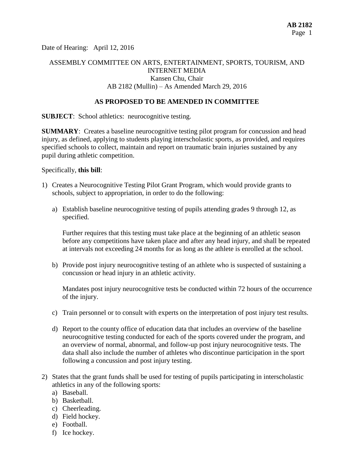Date of Hearing: April 12, 2016

# ASSEMBLY COMMITTEE ON ARTS, ENTERTAINMENT, SPORTS, TOURISM, AND INTERNET MEDIA Kansen Chu, Chair AB 2182 (Mullin) – As Amended March 29, 2016

#### **AS PROPOSED TO BE AMENDED IN COMMITTEE**

**SUBJECT:** School athletics: neurocognitive testing.

**SUMMARY**: Creates a baseline neurocognitive testing pilot program for concussion and head injury, as defined, applying to students playing interscholastic sports, as provided, and requires specified schools to collect, maintain and report on traumatic brain injuries sustained by any pupil during athletic competition.

Specifically, **this bill**:

- 1) Creates a Neurocognitive Testing Pilot Grant Program, which would provide grants to schools, subject to appropriation, in order to do the following:
	- a) Establish baseline neurocognitive testing of pupils attending grades 9 through 12, as specified.

Further requires that this testing must take place at the beginning of an athletic season before any competitions have taken place and after any head injury, and shall be repeated at intervals not exceeding 24 months for as long as the athlete is enrolled at the school.

b) Provide post injury neurocognitive testing of an athlete who is suspected of sustaining a concussion or head injury in an athletic activity.

Mandates post injury neurocognitive tests be conducted within 72 hours of the occurrence of the injury.

- c) Train personnel or to consult with experts on the interpretation of post injury test results.
- d) Report to the county office of education data that includes an overview of the baseline neurocognitive testing conducted for each of the sports covered under the program, and an overview of normal, abnormal, and follow-up post injury neurocognitive tests. The data shall also include the number of athletes who discontinue participation in the sport following a concussion and post injury testing.
- 2) States that the grant funds shall be used for testing of pupils participating in interscholastic athletics in any of the following sports:
	- a) Baseball.
	- b) Basketball.
	- c) Cheerleading.
	- d) Field hockey.
	- e) Football.
	- f) Ice hockey.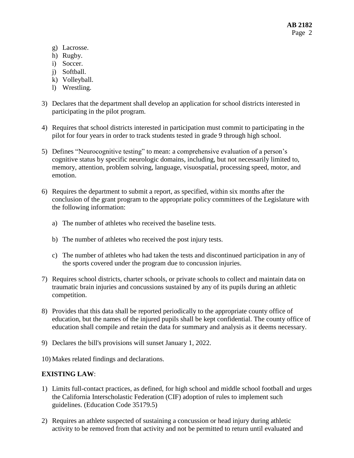- g) Lacrosse.
- h) Rugby.
- i) Soccer.
- j) Softball.
- k) Volleyball.
- l) Wrestling.
- 3) Declares that the department shall develop an application for school districts interested in participating in the pilot program.
- 4) Requires that school districts interested in participation must commit to participating in the pilot for four years in order to track students tested in grade 9 through high school.
- 5) Defines "Neurocognitive testing" to mean: a comprehensive evaluation of a person's cognitive status by specific neurologic domains, including, but not necessarily limited to, memory, attention, problem solving, language, visuospatial, processing speed, motor, and emotion.
- 6) Requires the department to submit a report, as specified, within six months after the conclusion of the grant program to the appropriate policy committees of the Legislature with the following information:
	- a) The number of athletes who received the baseline tests.
	- b) The number of athletes who received the post injury tests.
	- c) The number of athletes who had taken the tests and discontinued participation in any of the sports covered under the program due to concussion injuries.
- 7) Requires school districts, charter schools, or private schools to collect and maintain data on traumatic brain injuries and concussions sustained by any of its pupils during an athletic competition.
- 8) Provides that this data shall be reported periodically to the appropriate county office of education, but the names of the injured pupils shall be kept confidential. The county office of education shall compile and retain the data for summary and analysis as it deems necessary.
- 9) Declares the bill's provisions will sunset January 1, 2022.
- 10) Makes related findings and declarations.

## **EXISTING LAW**:

- 1) Limits full-contact practices, as defined, for high school and middle school football and urges the California Interscholastic Federation (CIF) adoption of rules to implement such guidelines. (Education Code 35179.5)
- 2) Requires an athlete suspected of sustaining a concussion or head injury during athletic activity to be removed from that activity and not be permitted to return until evaluated and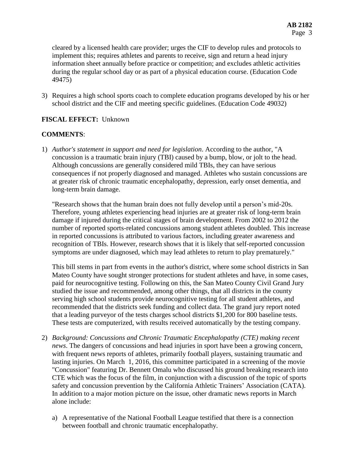cleared by a licensed health care provider; urges the CIF to develop rules and protocols to implement this; requires athletes and parents to receive, sign and return a head injury information sheet annually before practice or competition; and excludes athletic activities during the regular school day or as part of a physical education course. (Education Code 49475)

3) Requires a high school sports coach to complete education programs developed by his or her school district and the CIF and meeting specific guidelines. (Education Code 49032)

## **FISCAL EFFECT:** Unknown

#### **COMMENTS**:

1) *Author's statement in support and need for legislation*. According to the author, "A concussion is a traumatic brain injury (TBI) caused by a bump, blow, or jolt to the head. Although concussions are generally considered mild TBIs, they can have serious consequences if not properly diagnosed and managed. Athletes who sustain concussions are at greater risk of chronic traumatic encephalopathy, depression, early onset dementia, and long-term brain damage.

"Research shows that the human brain does not fully develop until a person's mid-20s. Therefore, young athletes experiencing head injuries are at greater risk of long-term brain damage if injured during the critical stages of brain development. From 2002 to 2012 the number of reported sports-related concussions among student athletes doubled. This increase in reported concussions is attributed to various factors, including greater awareness and recognition of TBIs. However, research shows that it is likely that self-reported concussion symptoms are under diagnosed, which may lead athletes to return to play prematurely."

This bill stems in part from events in the author's district, where some school districts in San Mateo County have sought stronger protections for student athletes and have, in some cases, paid for neurocognitive testing. Following on this, the San Mateo County Civil Grand Jury studied the issue and recommended, among other things, that all districts in the county serving high school students provide neurocognitive testing for all student athletes, and recommended that the districts seek funding and collect data. The grand jury report noted that a leading purveyor of the tests charges school districts \$1,200 for 800 baseline tests. These tests are computerized, with results received automatically by the testing company.

- 2) *Background: Concussions and Chronic Traumatic Encephalopathy (CTE) making recent news*. The dangers of concussions and head injuries in sport have been a growing concern, with frequent news reports of athletes, primarily football players, sustaining traumatic and lasting injuries. On March 1, 2016, this committee participated in a screening of the movie "Concussion" featuring Dr. Bennett Omalu who discussed his ground breaking research into CTE which was the focus of the film, in conjunction with a discussion of the topic of sports safety and concussion prevention by the California Athletic Trainers' Association (CATA). In addition to a major motion picture on the issue, other dramatic news reports in March alone include:
	- a) A representative of the National Football League testified that there is a connection between football and chronic traumatic encephalopathy.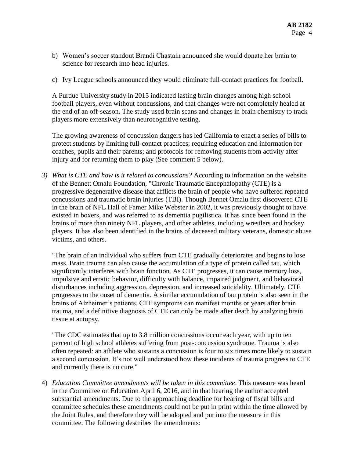- b) Women's soccer standout Brandi Chastain announced she would donate her brain to science for research into head injuries.
- c) Ivy League schools announced they would eliminate full-contact practices for football.

A Purdue University study in 2015 indicated lasting brain changes among high school football players, even without concussions, and that changes were not completely healed at the end of an off-season. The study used brain scans and changes in brain chemistry to track players more extensively than neurocognitive testing.

The growing awareness of concussion dangers has led California to enact a series of bills to protect students by limiting full-contact practices; requiring education and information for coaches, pupils and their parents; and protocols for removing students from activity after injury and for returning them to play (See comment 5 below).

*3) What is CTE and how is it related to concussions?* According to information on the website of the Bennett Omalu Foundation, "Chronic Traumatic Encephalopathy (CTE) is a progressive degenerative disease that afflicts the brain of people who have suffered repeated concussions and traumatic brain injuries (TBI). Though Bennet Omalu first discovered CTE in the brain of NFL Hall of Famer Mike Webster in 2002, it was previously thought to have existed in boxers, and was referred to as dementia pugilistica. It has since been found in the brains of more than ninety NFL players, and other athletes, including wrestlers and hockey players. It has also been identified in the brains of deceased military veterans, domestic abuse victims, and others.

"The brain of an individual who suffers from CTE gradually deteriorates and begins to lose mass. Brain trauma can also cause the accumulation of a type of protein called tau, which significantly interferes with brain function. As CTE progresses, it can cause memory loss, impulsive and erratic behavior, difficulty with balance, impaired judgment, and behavioral disturbances including aggression, depression, and increased suicidality. Ultimately, CTE progresses to the onset of dementia. A similar accumulation of tau protein is also seen in the brains of Alzheimer's patients. CTE symptoms can manifest months or years after brain trauma, and a definitive diagnosis of CTE can only be made after death by analyzing brain tissue at autopsy.

"The CDC estimates that up to 3.8 million concussions occur each year, with up to ten percent of high school athletes suffering from post-concussion syndrome. Trauma is also often repeated: an athlete who sustains a concussion is four to six times more likely to sustain a second concussion. It's not well understood how these incidents of trauma progress to CTE and currently there is no cure."

4) *Education Committee amendments will be taken in this committee*. This measure was heard in the Committee on Education April 6, 2016, and in that hearing the author accepted substantial amendments. Due to the approaching deadline for hearing of fiscal bills and committee schedules these amendments could not be put in print within the time allowed by the Joint Rules, and therefore they will be adopted and put into the measure in this committee. The following describes the amendments: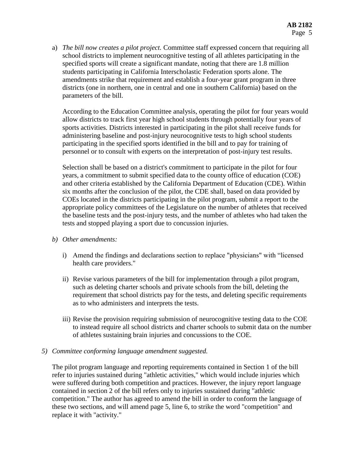a) *The bill now creates a pilot project.* Committee staff expressed concern that requiring all school districts to implement neurocognitive testing of all athletes participating in the specified sports will create a significant mandate, noting that there are 1.8 million students participating in California Interscholastic Federation sports alone. The amendments strike that requirement and establish a four-year grant program in three districts (one in northern, one in central and one in southern California) based on the parameters of the bill.

According to the Education Committee analysis, operating the pilot for four years would allow districts to track first year high school students through potentially four years of sports activities. Districts interested in participating in the pilot shall receive funds for administering baseline and post-injury neurocognitive tests to high school students participating in the specified sports identified in the bill and to pay for training of personnel or to consult with experts on the interpretation of post-injury test results.

Selection shall be based on a district's commitment to participate in the pilot for four years, a commitment to submit specified data to the county office of education (COE) and other criteria established by the California Department of Education (CDE). Within six months after the conclusion of the pilot, the CDE shall, based on data provided by COEs located in the districts participating in the pilot program, submit a report to the appropriate policy committees of the Legislature on the number of athletes that received the baseline tests and the post-injury tests, and the number of athletes who had taken the tests and stopped playing a sport due to concussion injuries.

- *b) Other amendments:*
	- i) Amend the findings and declarations section to replace "physicians" with "licensed health care providers."
	- ii) Revise various parameters of the bill for implementation through a pilot program, such as deleting charter schools and private schools from the bill, deleting the requirement that school districts pay for the tests, and deleting specific requirements as to who administers and interprets the tests.
	- iii) Revise the provision requiring submission of neurocognitive testing data to the COE to instead require all school districts and charter schools to submit data on the number of athletes sustaining brain injuries and concussions to the COE.
- *5) Committee conforming language amendment suggested.*

The pilot program language and reporting requirements contained in Section 1 of the bill refer to injuries sustained during "athletic activities," which would include injuries which were suffered during both competition and practices. However, the injury report language contained in section 2 of the bill refers only to injuries sustained during "athletic competition." The author has agreed to amend the bill in order to conform the language of these two sections, and will amend page 5, line 6, to strike the word "competition" and replace it with "activity."